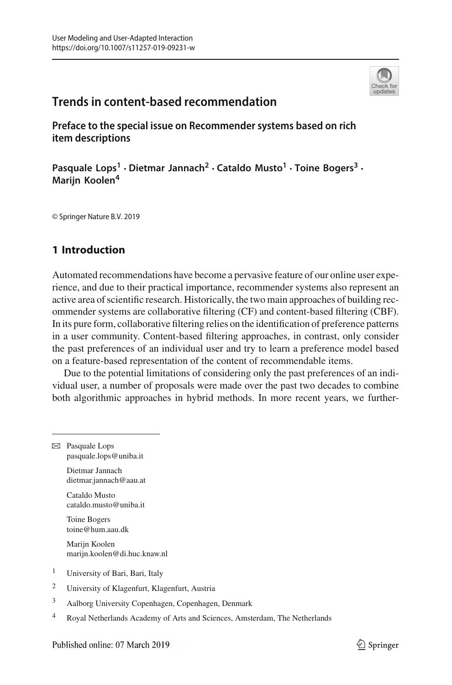

# **Trends in content-based recommendation**

**Preface to the special issue on Recommender systems based on rich item descriptions**

**Pasquale Lops<sup>1</sup> · Dietmar Jannach2 · Cataldo Musto1 · Toine Bogers<sup>3</sup> · Marijn Koolen4**

© Springer Nature B.V. 2019

## **1 Introduction**

Automated recommendations have become a pervasive feature of our online user experience, and due to their practical importance, recommender systems also represent an active area of scientific research. Historically, the two main approaches of building recommender systems are collaborative filtering (CF) and content-based filtering (CBF). In its pure form, collaborative filtering relies on the identification of preference patterns in a user community. Content-based filtering approaches, in contrast, only consider the past preferences of an individual user and try to learn a preference model based on a feature-based representation of the content of recommendable items.

Due to the potential limitations of considering only the past preferences of an individual user, a number of proposals were made over the past two decades to combine both algorithmic approaches in hybrid methods. In more recent years, we further-

 $\boxtimes$  Pasquale Lops pasquale.lops@uniba.it

> Dietmar Jannach dietmar.jannach@aau.at

> Cataldo Musto cataldo.musto@uniba.it

Toine Bogers toine@hum.aau.dk

Marijn Koolen marijn.koolen@di.huc.knaw.nl

- <sup>1</sup> University of Bari, Bari, Italy
- <sup>2</sup> University of Klagenfurt, Klagenfurt, Austria
- <sup>3</sup> Aalborg University Copenhagen, Copenhagen, Denmark
- <sup>4</sup> Royal Netherlands Academy of Arts and Sciences, Amsterdam, The Netherlands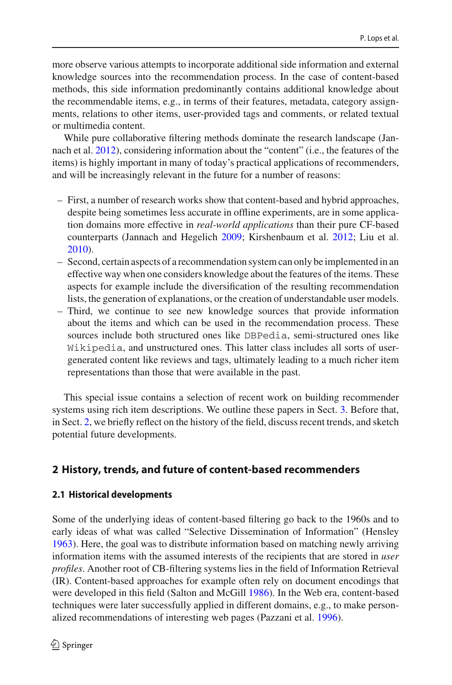more observe various attempts to incorporate additional side information and external knowledge sources into the recommendation process. In the case of content-based methods, this side information predominantly contains additional knowledge about the recommendable items, e.g., in terms of their features, metadata, category assignments, relations to other items, user-provided tags and comments, or related textual or multimedia content.

While pure collaborative filtering methods dominate the research landscape (Jannach et al[.](#page-8-0) [2012\)](#page-8-0), considering information about the "content" (i.e., the features of the items) is highly important in many of today's practical applications of recommenders, and will be increasingly relevant in the future for a number of reasons:

- First, a number of research works show that content-based and hybrid approaches, despite being sometimes less accurate in offline experiments, are in some application domains more effective in *real-world applications* than their pure CF-based counterparts (Jannach and Hegelic[h](#page-8-1) [2009](#page-8-1); Kirshenbaum et al[.](#page-8-2) [2012](#page-8-2); Liu et al[.](#page-8-3) [2010\)](#page-8-3).
- Second, certain aspects of a recommendation system can only be implemented in an effective way when one considers knowledge about the features of the items. These aspects for example include the diversification of the resulting recommendation lists, the generation of explanations, or the creation of understandable user models.
- Third, we continue to see new knowledge sources that provide information about the items and which can be used in the recommendation process. These sources include both structured ones like DBPedia, semi-structured ones like Wikipedia, and unstructured ones. This latter class includes all sorts of usergenerated content like reviews and tags, ultimately leading to a much richer item representations than those that were available in the past.

This special issue contains a selection of recent work on building recommender systems using rich item descriptions. We outline these papers in Sect. [3.](#page-6-0) Before that, in Sect. [2,](#page-1-0) we briefly reflect on the history of the field, discuss recent trends, and sketch potential future developments.

## <span id="page-1-0"></span>**2 History, trends, and future of content-based recommenders**

## **2.1 Historical developments**

Some of the underlying ideas of content-based filtering go back to the 1960s and to early ideas of what was called "Selective Dissemination of Information" (Hensle[y](#page-8-4) [1963\)](#page-8-4). Here, the goal was to distribute information based on matching newly arriving information items with the assumed interests of the recipients that are stored in *user profiles*. Another root of CB-filtering systems lies in the field of Information Retrieval (IR). Content-based approaches for example often rely on document encodings that were developed in this field (Salton and McGil[l](#page-9-0) [1986\)](#page-9-0). In the Web era, content-based techniques were later successfully applied in different domains, e.g., to make personalized recommendations of interesting web pages (Pazzani et al[.](#page-9-1) [1996](#page-9-1)).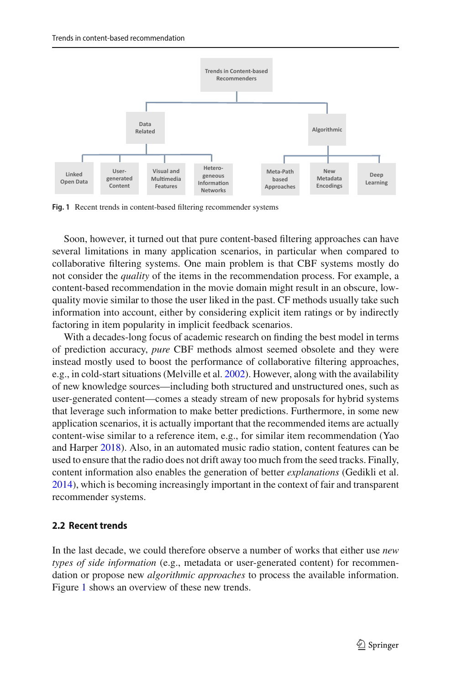

<span id="page-2-0"></span>**Fig. 1** Recent trends in content-based filtering recommender systems

Soon, however, it turned out that pure content-based filtering approaches can have several limitations in many application scenarios, in particular when compared to collaborative filtering systems. One main problem is that CBF systems mostly do not consider the *quality* of the items in the recommendation process. For example, a content-based recommendation in the movie domain might result in an obscure, lowquality movie similar to those the user liked in the past. CF methods usually take such information into account, either by considering explicit item ratings or by indirectly factoring in item popularity in implicit feedback scenarios.

With a decades-long focus of academic research on finding the best model in terms of prediction accuracy, *pure* CBF methods almost seemed obsolete and they were instead mostly used to boost the performance of collaborative filtering approaches, e.g., in cold-start situations (Melville et al[.](#page-8-5) [2002](#page-8-5)). However, along with the availability of new knowledge sources—including both structured and unstructured ones, such as user-generated content—comes a steady stream of new proposals for hybrid systems that leverage such information to make better predictions. Furthermore, in some new application scenarios, it is actually important that the recommended items are actually content-wise similar to a reference item, e.g., for similar item recommendation (Yao and Harpe[r](#page-9-2) [2018\)](#page-9-2). Also, in an automated music radio station, content features can be used to ensure that the radio does not drift away too much from the seed tracks. Finally, content information also enables the generation of better *explanations* (Gedikli et al[.](#page-8-6) [2014\)](#page-8-6), which is becoming increasingly important in the context of fair and transparent recommender systems.

#### **2.2 Recent trends**

In the last decade, we could therefore observe a number of works that either use *new types of side information* (e.g., metadata or user-generated content) for recommendation or propose new *algorithmic approaches* to process the available information. Figure [1](#page-2-0) shows an overview of these new trends.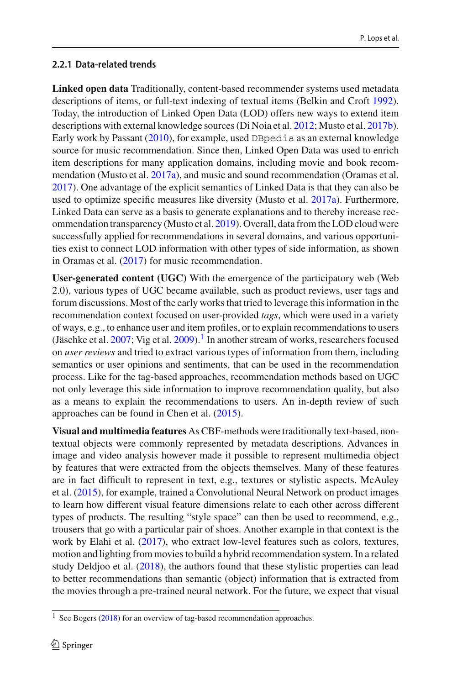## **2.2.1 Data-related trends**

**Linked open data** Traditionally, content-based recommender systems used metadata descriptions of items, or full-text indexing of textual items (Belkin and Crof[t](#page-7-0) [1992](#page-7-0)). Today, the introduction of Linked Open Data (LOD) offers new ways to extend item descriptions with external knowledge sources (Di Noia et al[.](#page-8-7) [2012;](#page-8-7) Musto et al[.](#page-9-3) [2017b](#page-9-3)). Early work by Passan[t](#page-9-4) [\(2010](#page-9-4)), for example, used DBpedia as an external knowledge source for music recommendation. Since then, Linked Open Data was used to enrich item descriptions for many application domains, including movie and book recommendation (Musto et al[.](#page-9-5) [2017a](#page-9-5)), and music and sound recommendation (Oramas et al[.](#page-9-6) [2017\)](#page-9-6). One advantage of the explicit semantics of Linked Data is that they can also be used to optimize specific measures like diversity (Musto et al[.](#page-9-5) [2017a](#page-9-5)). Furthermore, Linked Data can serve as a basis to generate explanations and to thereby increase recommendation transparency (Musto et al[.](#page-9-7) [2019](#page-9-7)). Overall, data from the LOD cloud were successfully applied for recommendations in several domains, and various opportunities exist to connect LOD information with other types of side information, as shown in Oramas et al[.](#page-9-6) [\(2017\)](#page-9-6) for music recommendation.

**User-generated content (UGC)** With the emergence of the participatory web (Web 2.0), various types of UGC became available, such as product reviews, user tags and forum discussions. Most of the early works that tried to leverage this information in the recommendation context focused on user-provided *tags*, which were used in a variety of ways, e.g., to enhance user and item profiles, or to explain recommendations to users (Jäschke et al[.](#page-9-8) [2007](#page-8-8); Vig et al. [2009](#page-9-8)).<sup>[1](#page-3-0)</sup> In another stream of works, researchers focused on *user reviews* and tried to extract various types of information from them, including semantics or user opinions and sentiments, that can be used in the recommendation process. Like for the tag-based approaches, recommendation methods based on UGC not only leverage this side information to improve recommendation quality, but also as a means to explain the recommendations to users. An in-depth review of such approaches can be found in Chen et al[.](#page-7-1) [\(2015\)](#page-7-1).

**Visual and multimedia features** As CBF-methods were traditionally text-based, nontextual objects were commonly represented by metadata descriptions. Advances in image and video analysis however made it possible to represent multimedia object by features that were extracted from the objects themselves. Many of these features are in fact difficult to represent in text, e.g., textures or stylistic aspects. McAuley et al[.](#page-8-9) [\(2015\)](#page-8-9), for example, trained a Convolutional Neural Network on product images to learn how different visual feature dimensions relate to each other across different types of products. The resulting "style space" can then be used to recommend, e.g., trousers that go with a particular pair of shoes. Another example in that context is the work by Elahi et al[.](#page-8-10) [\(2017\)](#page-8-10), who extract low-level features such as colors, textures, motion and lighting from movies to build a hybrid recommendation system. In a related study Deldjoo et al[.](#page-7-2) [\(2018\)](#page-7-2), the authors found that these stylistic properties can lead to better recommendations than semantic (object) information that is extracted from the movies through a pre-trained neural network. For the future, we expect that visual

<span id="page-3-0"></span> $1$  See Boger[s](#page-7-3) [\(2018](#page-7-3)) for an overview of tag-based recommendation approaches.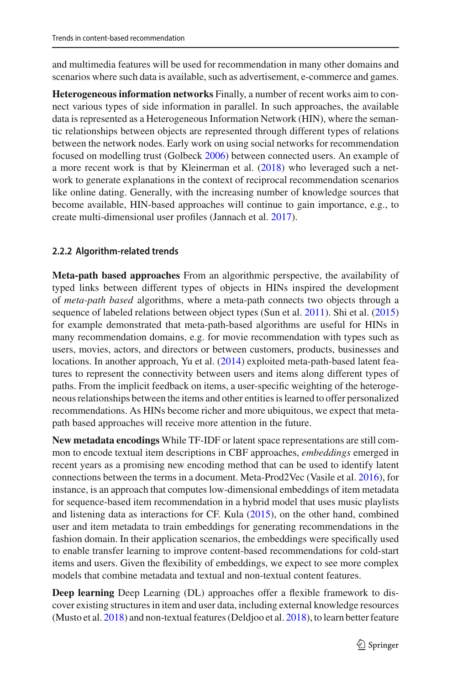and multimedia features will be used for recommendation in many other domains and scenarios where such data is available, such as advertisement, e-commerce and games.

**Heterogeneous information networks** Finally, a number of recent works aim to connect various types of side information in parallel. In such approaches, the available data is represented as a Heterogeneous Information Network (HIN), where the semantic relationships between objects are represented through different types of relations between the network nodes. Early work on using social networks for recommendation focused on modelling trust (Golbec[k](#page-8-11) [2006](#page-8-11)) between connected users. An example of a more recent work is that by Kleinerman et al[.](#page-8-12) [\(2018\)](#page-8-12) who leveraged such a network to generate explanations in the context of reciprocal recommendation scenarios like online dating. Generally, with the increasing number of knowledge sources that become available, HIN-based approaches will continue to gain importance, e.g., to create multi-dimensional user profiles (Jannach et al[.](#page-8-13) [2017\)](#page-8-13).

#### **2.2.2 Algorithm-related trends**

**Meta-path based approaches** From an algorithmic perspective, the availability of typed links between different types of objects in HINs inspired the development of *meta-path based* algorithms, where a meta-path connects two objects through a sequence of labeled relations between object types (Sun et al[.](#page-9-9) [2011](#page-9-9)). Shi et al[.](#page-9-10) [\(2015\)](#page-9-10) for example demonstrated that meta-path-based algorithms are useful for HINs in many recommendation domains, e.g. for movie recommendation with types such as users, movies, actors, and directors or between customers, products, businesses and locations. In another approach, Yu et al[.](#page-9-11) [\(2014\)](#page-9-11) exploited meta-path-based latent features to represent the connectivity between users and items along different types of paths. From the implicit feedback on items, a user-specific weighting of the heterogeneous relationships between the items and other entities is learned to offer personalized recommendations. As HINs become richer and more ubiquitous, we expect that metapath based approaches will receive more attention in the future.

**New metadata encodings** While TF-IDF or latent space representations are still common to encode textual item descriptions in CBF approaches, *embeddings* emerged in recent years as a promising new encoding method that can be used to identify latent connections between the terms in a document. Meta-Prod2Vec (Vasile et al[.](#page-9-12) [2016\)](#page-9-12), for instance, is an approach that computes low-dimensional embeddings of item metadata for sequence-based item recommendation in a hybrid model that uses music playlists and listening data as interactions for CF. Kul[a](#page-8-14) [\(2015](#page-8-14)), on the other hand, combined user and item metadata to train embeddings for generating recommendations in the fashion domain. In their application scenarios, the embeddings were specifically used to enable transfer learning to improve content-based recommendations for cold-start items and users. Given the flexibility of embeddings, we expect to see more complex models that combine metadata and textual and non-textual content features.

**Deep learning** Deep Learning (DL) approaches offer a flexible framework to discover existing structures in item and user data, including external knowledge resources (Musto et al[.](#page-9-13) [2018\)](#page-9-13) and non-textual features (Deldjoo et al[.](#page-7-2) [2018](#page-7-2)), to learn better feature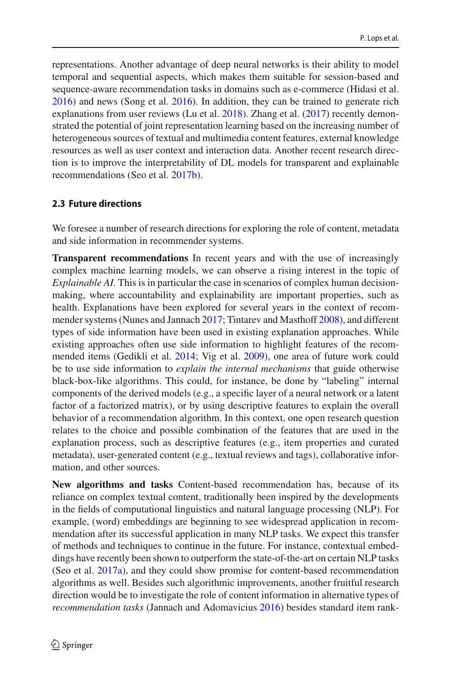representations. Another advantage of deep neural networks is their ability to model temporal and sequential aspects, which makes them suitable for session-based and sequence-aware recommendation tasks in domains such as e-commerce (Hidasi et al[.](#page-8-15) [2016\)](#page-8-15) and news (Song et al[.](#page-9-14) [2016](#page-9-14)). In addition, they can be trained to generate rich explanations from user reviews (Lu et al[.](#page-8-16) [2018\)](#page-8-16). Zhang et al[.](#page-9-15) [\(2017](#page-9-15)) recently demonstrated the potential of joint representation learning based on the increasing number of heterogeneous sources of textual and multimedia content features, external knowledge resources as well as user context and interaction data. Another recent research direction is to improve the interpretability of DL models for transparent and explainable recommendations (Seo et al[.](#page-9-16) [2017b\)](#page-9-16).

### **2.3 Future directions**

We foresee a number of research directions for exploring the role of content, metadata and side information in recommender systems.

**Transparent recommendations** In recent years and with the use of increasingly complex machine learning models, we can observe a rising interest in the topic of *Explainable AI*. This is in particular the case in scenarios of complex human decisionmaking, where accountability and explainability are important properties, such as health. Explanations have been explored for several years in the context of recommender systems (Nunes and Jannac[h](#page-9-17) [2017](#page-9-17); Tintarev and Masthof[f](#page-9-18) [2008](#page-9-18)), and different types of side information have been used in existing explanation approaches. While existing approaches often use side information to highlight features of the recommended items (Gedikli et al[.](#page-8-6) [2014](#page-8-6); Vig et al[.](#page-9-8) [2009](#page-9-8)), one area of future work could be to use side information to *explain the internal mechanisms* that guide otherwise black-box-like algorithms. This could, for instance, be done by "labeling" internal components of the derived models (e.g., a specific layer of a neural network or a latent factor of a factorized matrix), or by using descriptive features to explain the overall behavior of a recommendation algorithm. In this context, one open research question relates to the choice and possible combination of the features that are used in the explanation process, such as descriptive features (e.g., item properties and curated metadata), user-generated content (e.g., textual reviews and tags), collaborative information, and other sources.

**New algorithms and tasks** Content-based recommendation has, because of its reliance on complex textual content, traditionally been inspired by the developments in the fields of computational linguistics and natural language processing (NLP). For example, (word) embeddings are beginning to see widespread application in recommendation after its successful application in many NLP tasks. We expect this transfer of methods and techniques to continue in the future. For instance, contextual embeddings have recently been shown to outperform the state-of-the-art on certain NLP tasks (Seo et al[.](#page-9-19) [2017a\)](#page-9-19), and they could show promise for content-based recommendation algorithms as well. Besides such algorithmic improvements, another fruitful research direction would be to investigate the role of content information in alternative types of *recommendation tasks* (Jannach and Adomaviciu[s](#page-8-17) [2016\)](#page-8-17) besides standard item rank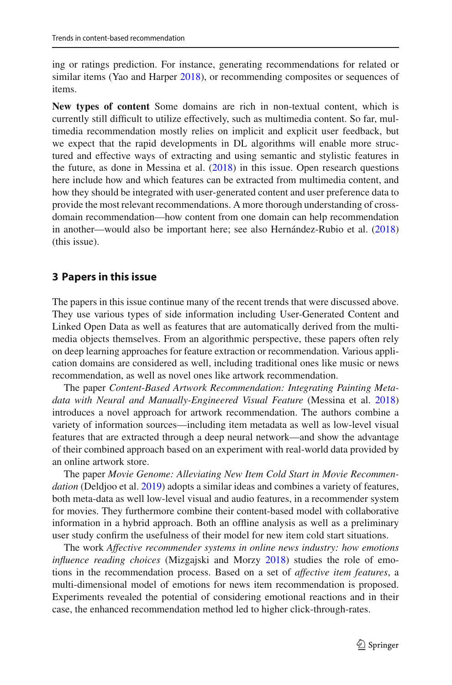ing or ratings prediction. For instance, generating recommendations for related or similar items (Yao and Harpe[r](#page-9-2) [2018](#page-9-2)), or recommending composites or sequences of items.

**New types of content** Some domains are rich in non-textual content, which is currently still difficult to utilize effectively, such as multimedia content. So far, multimedia recommendation mostly relies on implicit and explicit user feedback, but we expect that the rapid developments in DL algorithms will enable more structured and effective ways of extracting and using semantic and stylistic features in the future, as done in Messina et al[.](#page-8-18) [\(2018](#page-8-18)) in this issue. Open research questions here include how and which features can be extracted from multimedia content, and how they should be integrated with user-generated content and user preference data to provide the most relevant recommendations. A more thorough understanding of crossdomain recommendation—how content from one domain can help recommendation in another—would also be important here; see also Hernández-Rubio et al[.](#page-8-19) [\(2018\)](#page-8-19) (this issue).

#### <span id="page-6-0"></span>**3 Papers in this issue**

The papers in this issue continue many of the recent trends that were discussed above. They use various types of side information including User-Generated Content and Linked Open Data as well as features that are automatically derived from the multimedia objects themselves. From an algorithmic perspective, these papers often rely on deep learning approaches for feature extraction or recommendation. Various application domains are considered as well, including traditional ones like music or news recommendation, as well as novel ones like artwork recommendation.

The paper *Content-Based Artwork Recommendation: Integrating Painting Metadata with Neural and Manually-Engineered Visual Feature* (Messina et al[.](#page-8-18) [2018\)](#page-8-18) introduces a novel approach for artwork recommendation. The authors combine a variety of information sources—including item metadata as well as low-level visual features that are extracted through a deep neural network—and show the advantage of their combined approach based on an experiment with real-world data provided by an online artwork store.

The paper *Movie Genome: Alleviating New Item Cold Start in Movie Recommendation* (Deldjoo et al[.](#page-7-4) [2019](#page-7-4)) adopts a similar ideas and combines a variety of features, both meta-data as well low-level visual and audio features, in a recommender system for movies. They furthermore combine their content-based model with collaborative information in a hybrid approach. Both an offline analysis as well as a preliminary user study confirm the usefulness of their model for new item cold start situations.

The work *Affective recommender systems in online news industry: how emotions influence reading choices* (Mizgajski and Morz[y](#page-9-20) [2018](#page-9-20)) studies the role of emotions in the recommendation process. Based on a set of *affective item features*, a multi-dimensional model of emotions for news item recommendation is proposed. Experiments revealed the potential of considering emotional reactions and in their case, the enhanced recommendation method led to higher click-through-rates.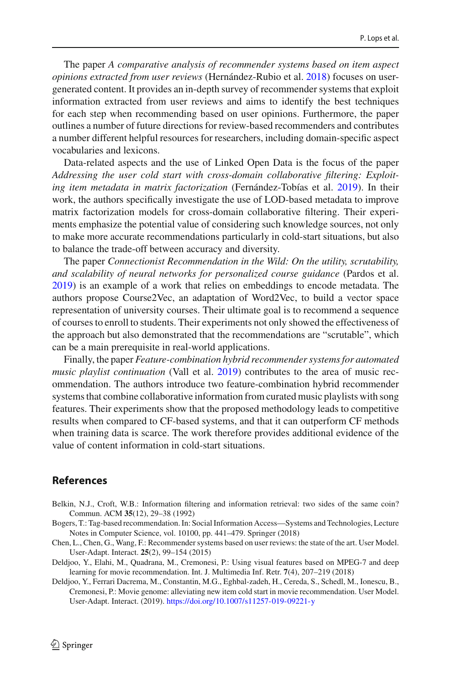The paper *A comparative analysis of recommender systems based on item aspect opinions extracted from user reviews* (Hernández-Rubio et al[.](#page-8-19) [2018\)](#page-8-19) focuses on usergenerated content. It provides an in-depth survey of recommender systems that exploit information extracted from user reviews and aims to identify the best techniques for each step when recommending based on user opinions. Furthermore, the paper outlines a number of future directions for review-based recommenders and contributes a number different helpful resources for researchers, including domain-specific aspect vocabularies and lexicons.

Data-related aspects and the use of Linked Open Data is the focus of the paper *Addressing the user cold start with cross-domain collaborative filtering: Exploiting item metadata in matrix factorization* (Fernández-Tobías et al[.](#page-8-20) [2019](#page-8-20)). In their work, the authors specifically investigate the use of LOD-based metadata to improve matrix factorization models for cross-domain collaborative filtering. Their experiments emphasize the potential value of considering such knowledge sources, not only to make more accurate recommendations particularly in cold-start situations, but also to balance the trade-off between accuracy and diversity.

The paper *Connectionist Recommendation in the Wild: On the utility, scrutability, and scalability of neural networks for personalized course guidance* (Pardos et al[.](#page-9-21) [2019\)](#page-9-21) is an example of a work that relies on embeddings to encode metadata. The authors propose Course2Vec, an adaptation of Word2Vec, to build a vector space representation of university courses. Their ultimate goal is to recommend a sequence of courses to enroll to students. Their experiments not only showed the effectiveness of the approach but also demonstrated that the recommendations are "scrutable", which can be a main prerequisite in real-world applications.

Finally, the paper *Feature-combination hybrid recommender systems for automated music playlist continuation* (Vall et al[.](#page-9-22) [2019](#page-9-22)) contributes to the area of music recommendation. The authors introduce two feature-combination hybrid recommender systems that combine collaborative information from curated music playlists with song features. Their experiments show that the proposed methodology leads to competitive results when compared to CF-based systems, and that it can outperform CF methods when training data is scarce. The work therefore provides additional evidence of the value of content information in cold-start situations.

#### **References**

- <span id="page-7-0"></span>Belkin, N.J., Croft, W.B.: Information filtering and information retrieval: two sides of the same coin? Commun. ACM **35**(12), 29–38 (1992)
- <span id="page-7-3"></span>Bogers, T.: Tag-based recommendation. In: Social Information Access—Systems and Technologies, Lecture Notes in Computer Science, vol. 10100, pp. 441–479. Springer (2018)
- <span id="page-7-1"></span>Chen, L., Chen, G., Wang, F.: Recommender systems based on user reviews: the state of the art. User Model. User-Adapt. Interact. **25**(2), 99–154 (2015)
- <span id="page-7-2"></span>Deldjoo, Y., Elahi, M., Quadrana, M., Cremonesi, P.: Using visual features based on MPEG-7 and deep learning for movie recommendation. Int. J. Multimedia Inf. Retr. **7**(4), 207–219 (2018)
- <span id="page-7-4"></span>Deldjoo, Y., Ferrari Dacrema, M., Constantin, M.G., Eghbal-zadeh, H., Cereda, S., Schedl, M., Ionescu, B., Cremonesi, P.: Movie genome: alleviating new item cold start in movie recommendation. User Model. User-Adapt. Interact. (2019). <https://doi.org/10.1007/s11257-019-09221-y>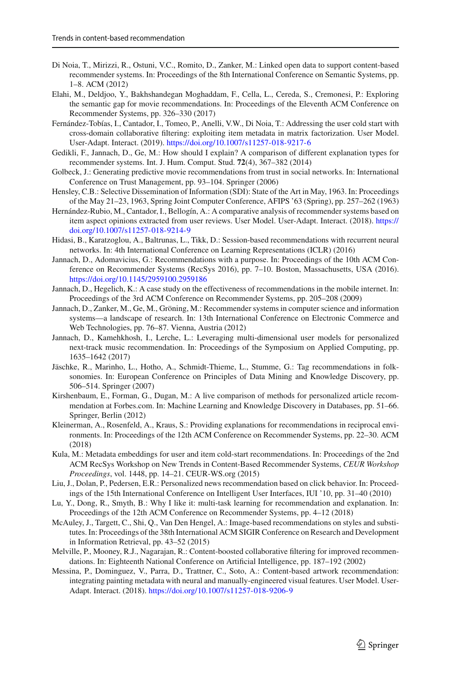- <span id="page-8-7"></span>Di Noia, T., Mirizzi, R., Ostuni, V.C., Romito, D., Zanker, M.: Linked open data to support content-based recommender systems. In: Proceedings of the 8th International Conference on Semantic Systems, pp. 1–8. ACM (2012)
- <span id="page-8-10"></span>Elahi, M., Deldjoo, Y., Bakhshandegan Moghaddam, F., Cella, L., Cereda, S., Cremonesi, P.: Exploring the semantic gap for movie recommendations. In: Proceedings of the Eleventh ACM Conference on Recommender Systems, pp. 326–330 (2017)
- <span id="page-8-20"></span>Fernández-Tobías, I., Cantador, I., Tomeo, P., Anelli, V.W., Di Noia, T.: Addressing the user cold start with cross-domain collaborative filtering: exploiting item metadata in matrix factorization. User Model. User-Adapt. Interact. (2019). <https://doi.org/10.1007/s11257-018-9217-6>
- <span id="page-8-6"></span>Gedikli, F., Jannach, D., Ge, M.: How should I explain? A comparison of different explanation types for recommender systems. Int. J. Hum. Comput. Stud. **72**(4), 367–382 (2014)
- <span id="page-8-11"></span>Golbeck, J.: Generating predictive movie recommendations from trust in social networks. In: International Conference on Trust Management, pp. 93–104. Springer (2006)
- <span id="page-8-4"></span>Hensley, C.B.: Selective Dissemination of Information (SDI): State of the Art in May, 1963. In: Proceedings of the May 21–23, 1963, Spring Joint Computer Conference, AFIPS '63 (Spring), pp. 257–262 (1963)
- <span id="page-8-19"></span>Hernández-Rubio, M., Cantador, I., Bellogín, A.: A comparative analysis of recommender systems based on item aspect opinions extracted from user reviews. User Model. User-Adapt. Interact. (2018). [https://](https://doi.org/10.1007/s11257-018-9214-9) [doi.org/10.1007/s11257-018-9214-9](https://doi.org/10.1007/s11257-018-9214-9)
- <span id="page-8-15"></span>Hidasi, B., Karatzoglou, A., Baltrunas, L., Tikk, D.: Session-based recommendations with recurrent neural networks. In: 4th International Conference on Learning Representations (ICLR) (2016)
- <span id="page-8-17"></span>Jannach, D., Adomavicius, G.: Recommendations with a purpose. In: Proceedings of the 10th ACM Conference on Recommender Systems (RecSys 2016), pp. 7–10. Boston, Massachusetts, USA (2016). <https://doi.org/10.1145/2959100.2959186>
- <span id="page-8-1"></span>Jannach, D., Hegelich, K.: A case study on the effectiveness of recommendations in the mobile internet. In: Proceedings of the 3rd ACM Conference on Recommender Systems, pp. 205–208 (2009)
- <span id="page-8-0"></span>Jannach, D., Zanker, M., Ge, M., Gröning, M.: Recommender systems in computer science and information systems—a landscape of research. In: 13th International Conference on Electronic Commerce and Web Technologies, pp. 76–87. Vienna, Austria (2012)
- <span id="page-8-13"></span>Jannach, D., Kamehkhosh, I., Lerche, L.: Leveraging multi-dimensional user models for personalized next-track music recommendation. In: Proceedings of the Symposium on Applied Computing, pp. 1635–1642 (2017)
- <span id="page-8-8"></span>Jäschke, R., Marinho, L., Hotho, A., Schmidt-Thieme, L., Stumme, G.: Tag recommendations in folksonomies. In: European Conference on Principles of Data Mining and Knowledge Discovery, pp. 506–514. Springer (2007)
- <span id="page-8-2"></span>Kirshenbaum, E., Forman, G., Dugan, M.: A live comparison of methods for personalized article recommendation at Forbes.com. In: Machine Learning and Knowledge Discovery in Databases, pp. 51–66. Springer, Berlin (2012)
- <span id="page-8-12"></span>Kleinerman, A., Rosenfeld, A., Kraus, S.: Providing explanations for recommendations in reciprocal environments. In: Proceedings of the 12th ACM Conference on Recommender Systems, pp. 22–30. ACM (2018)
- <span id="page-8-14"></span>Kula, M.: Metadata embeddings for user and item cold-start recommendations. In: Proceedings of the 2nd ACM RecSys Workshop on New Trends in Content-Based Recommender Systems, *CEUR Workshop Proceedings*, vol. 1448, pp. 14–21. CEUR-WS.org (2015)
- <span id="page-8-3"></span>Liu, J., Dolan, P., Pedersen, E.R.: Personalized news recommendation based on click behavior. In: Proceedings of the 15th International Conference on Intelligent User Interfaces, IUI '10, pp. 31–40 (2010)
- <span id="page-8-16"></span>Lu, Y., Dong, R., Smyth, B.: Why I like it: multi-task learning for recommendation and explanation. In: Proceedings of the 12th ACM Conference on Recommender Systems, pp. 4–12 (2018)
- <span id="page-8-9"></span>McAuley, J., Targett, C., Shi, Q., Van Den Hengel, A.: Image-based recommendations on styles and substitutes. In: Proceedings of the 38th International ACM SIGIR Conference on Research and Development in Information Retrieval, pp. 43–52 (2015)
- <span id="page-8-5"></span>Melville, P., Mooney, R.J., Nagarajan, R.: Content-boosted collaborative filtering for improved recommendations. In: Eighteenth National Conference on Artificial Intelligence, pp. 187–192 (2002)
- <span id="page-8-18"></span>Messina, P., Dominguez, V., Parra, D., Trattner, C., Soto, A.: Content-based artwork recommendation: integrating painting metadata with neural and manually-engineered visual features. User Model. User-Adapt. Interact. (2018). <https://doi.org/10.1007/s11257-018-9206-9>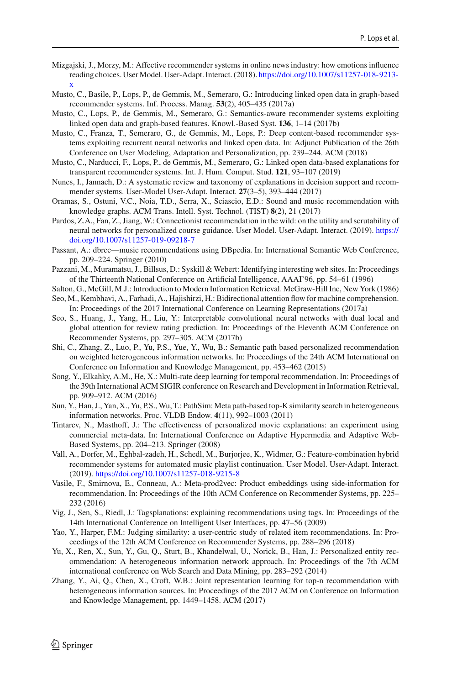- <span id="page-9-20"></span>Mizgajski, J., Morzy, M.: Affective recommender systems in online news industry: how emotions influence reading choices. User Model. User-Adapt. Interact. (2018). [https://doi.org/10.1007/s11257-018-9213](https://doi.org/10.1007/s11257-018-9213-x) [x](https://doi.org/10.1007/s11257-018-9213-x)
- <span id="page-9-5"></span>Musto, C., Basile, P., Lops, P., de Gemmis, M., Semeraro, G.: Introducing linked open data in graph-based recommender systems. Inf. Process. Manag. **53**(2), 405–435 (2017a)
- <span id="page-9-3"></span>Musto, C., Lops, P., de Gemmis, M., Semeraro, G.: Semantics-aware recommender systems exploiting linked open data and graph-based features. Knowl.-Based Syst. **136**, 1–14 (2017b)
- <span id="page-9-13"></span>Musto, C., Franza, T., Semeraro, G., de Gemmis, M., Lops, P.: Deep content-based recommender systems exploiting recurrent neural networks and linked open data. In: Adjunct Publication of the 26th Conference on User Modeling, Adaptation and Personalization, pp. 239–244. ACM (2018)
- <span id="page-9-7"></span>Musto, C., Narducci, F., Lops, P., de Gemmis, M., Semeraro, G.: Linked open data-based explanations for transparent recommender systems. Int. J. Hum. Comput. Stud. **121**, 93–107 (2019)
- <span id="page-9-17"></span>Nunes, I., Jannach, D.: A systematic review and taxonomy of explanations in decision support and recommender systems. User-Model User-Adapt. Interact. **27**(3–5), 393–444 (2017)
- <span id="page-9-6"></span>Oramas, S., Ostuni, V.C., Noia, T.D., Serra, X., Sciascio, E.D.: Sound and music recommendation with knowledge graphs. ACM Trans. Intell. Syst. Technol. (TIST) **8**(2), 21 (2017)
- <span id="page-9-21"></span>Pardos, Z.A., Fan, Z., Jiang, W.: Connectionist recommendation in the wild: on the utility and scrutability of neural networks for personalized course guidance. User Model. User-Adapt. Interact. (2019). [https://](https://doi.org/10.1007/s11257-019-09218-7) [doi.org/10.1007/s11257-019-09218-7](https://doi.org/10.1007/s11257-019-09218-7)
- <span id="page-9-4"></span>Passant, A.: dbrec—music recommendations using DBpedia. In: International Semantic Web Conference, pp. 209–224. Springer (2010)
- <span id="page-9-1"></span>Pazzani, M., Muramatsu, J., Billsus, D.: Syskill & Webert: Identifying interesting web sites. In: Proceedings of the Thirteenth National Conference on Artificial Intelligence, AAAI'96, pp. 54–61 (1996)
- <span id="page-9-0"></span>Salton, G., McGill, M.J.: Introduction to Modern Information Retrieval. McGraw-Hill Inc, New York (1986)
- <span id="page-9-19"></span>Seo, M., Kembhavi, A., Farhadi, A., Hajishirzi, H.: Bidirectional attention flow for machine comprehension. In: Proceedings of the 2017 International Conference on Learning Representations (2017a)
- <span id="page-9-16"></span>Seo, S., Huang, J., Yang, H., Liu, Y.: Interpretable convolutional neural networks with dual local and global attention for review rating prediction. In: Proceedings of the Eleventh ACM Conference on Recommender Systems, pp. 297–305. ACM (2017b)
- <span id="page-9-10"></span>Shi, C., Zhang, Z., Luo, P., Yu, P.S., Yue, Y., Wu, B.: Semantic path based personalized recommendation on weighted heterogeneous information networks. In: Proceedings of the 24th ACM International on Conference on Information and Knowledge Management, pp. 453–462 (2015)
- <span id="page-9-14"></span>Song, Y., Elkahky, A.M., He, X.: Multi-rate deep learning for temporal recommendation. In: Proceedings of the 39th International ACM SIGIR conference on Research and Development in Information Retrieval, pp. 909–912. ACM (2016)
- <span id="page-9-9"></span>Sun, Y., Han, J., Yan, X., Yu, P.S., Wu, T.: PathSim: Meta path-based top-K similarity search in heterogeneous information networks. Proc. VLDB Endow. **4**(11), 992–1003 (2011)
- <span id="page-9-18"></span>Tintarev, N., Masthoff, J.: The effectiveness of personalized movie explanations: an experiment using commercial meta-data. In: International Conference on Adaptive Hypermedia and Adaptive Web-Based Systems, pp. 204–213. Springer (2008)
- <span id="page-9-22"></span>Vall, A., Dorfer, M., Eghbal-zadeh, H., Schedl, M., Burjorjee, K., Widmer, G.: Feature-combination hybrid recommender systems for automated music playlist continuation. User Model. User-Adapt. Interact. (2019). <https://doi.org/10.1007/s11257-018-9215-8>
- <span id="page-9-12"></span>Vasile, F., Smirnova, E., Conneau, A.: Meta-prod2vec: Product embeddings using side-information for recommendation. In: Proceedings of the 10th ACM Conference on Recommender Systems, pp. 225– 232 (2016)
- <span id="page-9-8"></span>Vig, J., Sen, S., Riedl, J.: Tagsplanations: explaining recommendations using tags. In: Proceedings of the 14th International Conference on Intelligent User Interfaces, pp. 47–56 (2009)
- <span id="page-9-2"></span>Yao, Y., Harper, F.M.: Judging similarity: a user-centric study of related item recommendations. In: Proceedings of the 12th ACM Conference on Recommender Systems, pp. 288–296 (2018)
- <span id="page-9-11"></span>Yu, X., Ren, X., Sun, Y., Gu, Q., Sturt, B., Khandelwal, U., Norick, B., Han, J.: Personalized entity recommendation: A heterogeneous information network approach. In: Proceedings of the 7th ACM international conference on Web Search and Data Mining, pp. 283–292 (2014)
- <span id="page-9-15"></span>Zhang, Y., Ai, Q., Chen, X., Croft, W.B.: Joint representation learning for top-n recommendation with heterogeneous information sources. In: Proceedings of the 2017 ACM on Conference on Information and Knowledge Management, pp. 1449–1458. ACM (2017)